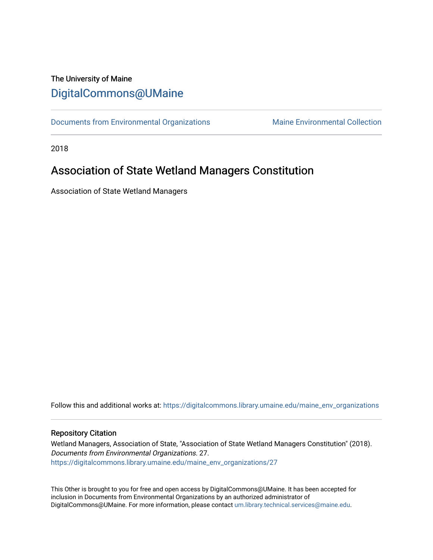# The University of Maine [DigitalCommons@UMaine](https://digitalcommons.library.umaine.edu/)

[Documents from Environmental Organizations](https://digitalcommons.library.umaine.edu/maine_env_organizations) Maine Environmental Collection

2018

# Association of State Wetland Managers Constitution

Association of State Wetland Managers

Follow this and additional works at: [https://digitalcommons.library.umaine.edu/maine\\_env\\_organizations](https://digitalcommons.library.umaine.edu/maine_env_organizations?utm_source=digitalcommons.library.umaine.edu%2Fmaine_env_organizations%2F27&utm_medium=PDF&utm_campaign=PDFCoverPages)

### Repository Citation

Wetland Managers, Association of State, "Association of State Wetland Managers Constitution" (2018). Documents from Environmental Organizations. 27. [https://digitalcommons.library.umaine.edu/maine\\_env\\_organizations/27](https://digitalcommons.library.umaine.edu/maine_env_organizations/27?utm_source=digitalcommons.library.umaine.edu%2Fmaine_env_organizations%2F27&utm_medium=PDF&utm_campaign=PDFCoverPages) 

This Other is brought to you for free and open access by DigitalCommons@UMaine. It has been accepted for inclusion in Documents from Environmental Organizations by an authorized administrator of DigitalCommons@UMaine. For more information, please contact [um.library.technical.services@maine.edu](mailto:um.library.technical.services@maine.edu).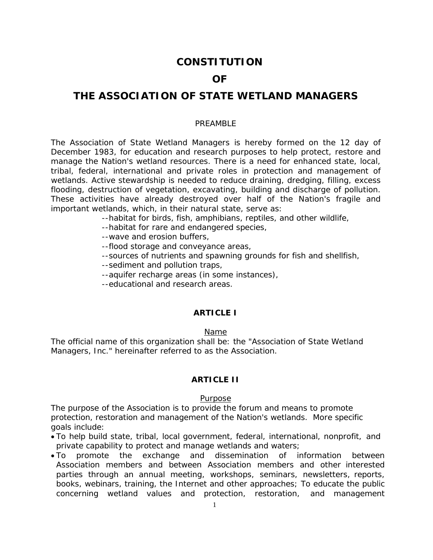## **CONSTITUTION**

## **OF**

# **THE ASSOCIATION OF STATE WETLAND MANAGERS**

#### PRFAMBI<sub>F</sub>

The Association of State Wetland Managers is hereby formed on the 12 day of December 1983, for education and research purposes to help protect, restore and manage the Nation's wetland resources. There is a need for enhanced state, local, tribal, federal, international and private roles in protection and management of wetlands. Active stewardship is needed to reduce draining, dredging, filling, excess flooding, destruction of vegetation, excavating, building and discharge of pollution. These activities have already destroyed over half of the Nation's fragile and important wetlands, which, in their natural state, serve as:

--habitat for birds, fish, amphibians, reptiles, and other wildlife,

- --habitat for rare and endangered species,
- --wave and erosion buffers,
- --flood storage and conveyance areas,
- --sources of nutrients and spawning grounds for fish and shellfish,
- --sediment and pollution traps,
- --aquifer recharge areas (in some instances),
- --educational and research areas.

## **ARTICLE I**

## Name

The official name of this organization shall be: the "Association of State Wetland Managers, Inc." hereinafter referred to as the Association.

### **ARTICLE II**

#### Purpose

The purpose of the Association is to provide the forum and means to promote protection, restoration and management of the Nation's wetlands. More specific goals include:

- To help build state, tribal, local government, federal, international, nonprofit, and private capability to protect and manage wetlands and waters;
- To promote the exchange and dissemination of information between Association members and between Association members and other interested parties through an annual meeting, workshops, seminars, newsletters, reports, books, webinars, training, the Internet and other approaches; To educate the public concerning wetland values and protection, restoration, and management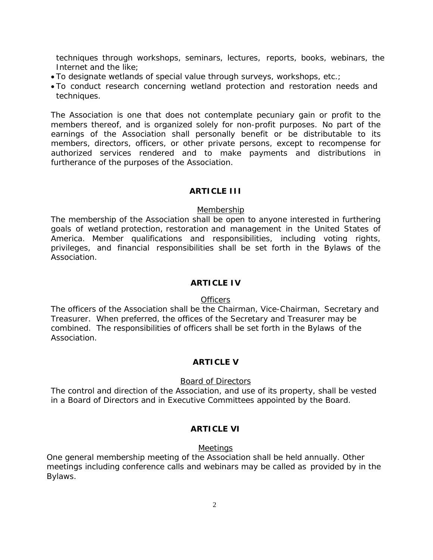techniques through workshops, seminars, lectures, reports, books, webinars, the Internet and the like;

- To designate wetlands of special value through surveys, workshops, etc.;
- To conduct research concerning wetland protection and restoration needs and techniques.

The Association is one that does not contemplate pecuniary gain or profit to the members thereof, and is organized solely for non-profit purposes. No part of the earnings of the Association shall personally benefit or be distributable to its members, directors, officers, or other private persons, except to recompense for authorized services rendered and to make payments and distributions in furtherance of the purposes of the Association.

## **ARTICLE III**

#### **Membership**

The membership of the Association shall be open to anyone interested in furthering goals of wetland protection, restoration and management in the United States of America. Member qualifications and responsibilities, including voting rights, privileges, and financial responsibilities shall be set forth in the Bylaws of the Association.

### **ARTICLE IV**

#### **Officers**

The officers of the Association shall be the Chairman, Vice-Chairman, Secretary and Treasurer. When preferred, the offices of the Secretary and Treasurer may be combined. The responsibilities of officers shall be set forth in the Bylaws of the Association.

### **ARTICLE V**

#### Board of Directors

The control and direction of the Association, and use of its property, shall be vested in a Board of Directors and in Executive Committees appointed by the Board.

## **ARTICLE VI**

#### **Meetings**

One general membership meeting of the Association shall be held annually. Other meetings including conference calls and webinars may be called as provided by in the Bylaws.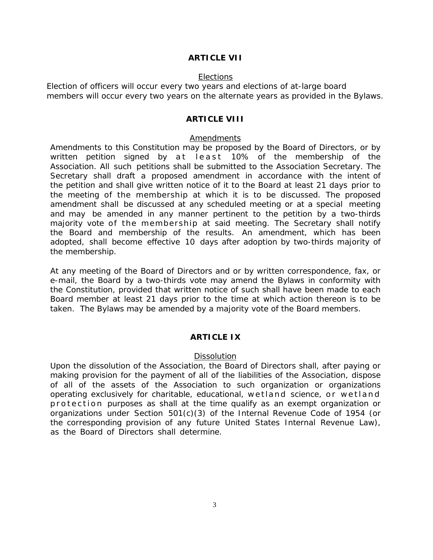#### **ARTICLE VII**

#### Elections

Election of officers will occur every two years and elections of at-large board members will occur every two years on the alternate years as provided in the Bylaws.

### **ARTICLE VIII**

#### Amendments

Amendments to this Constitution may be proposed by the Board of Directors, or by written petition signed by at least 10% of the membership of the Association. All such petitions shall be submitted to the Association Secretary. The Secretary shall draft a proposed amendment in accordance with the intent of the petition and shall give written notice of it to the Board at least 21 days prior to the meeting of the membership at which it is to be discussed. The proposed amendment shall be discussed at any scheduled meeting or at a special meeting and may be amended in any manner pertinent to the petition by a two-thirds majority vote of the membership at said meeting. The Secretary shall notify the Board and membership of the results. An amendment, which has been adopted, shall become effective 10 days after adoption by two-thirds majority of the membership.

At any meeting of the Board of Directors and or by written correspondence, fax, or e-mail, the Board by a two-thirds vote may amend the Bylaws in conformity with the Constitution, provided that written notice of such shall have been made to each Board member at least 21 days prior to the time at which action thereon is to be taken. The Bylaws may be amended by a majority vote of the Board members.

#### **ARTICLE IX**

#### Dissolution

Upon the dissolution of the Association, the Board of Directors shall, after paying or making provision for the payment of all of the liabilities of the Association, dispose of all of the assets of the Association to such organization or organizations operating exclusively for charitable, educational, wetland science, or wetland protection purposes as shall at the time qualify as an exempt organization or organizations under Section  $501(c)(3)$  of the Internal Revenue Code of 1954 (or the corresponding provision of any future United States Internal Revenue Law), as the Board of Directors shall determine.